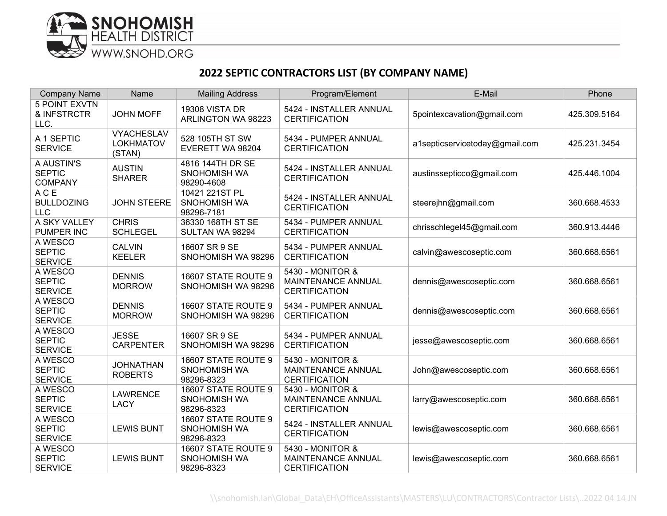

## **2022 SEPTIC CONTRACTORS LIST (BY COMPANY NAME)**

| <b>Company Name</b>                           | Name                                            | <b>Mailing Address</b>                                   | Program/Element                                                       | E-Mail                         | Phone        |
|-----------------------------------------------|-------------------------------------------------|----------------------------------------------------------|-----------------------------------------------------------------------|--------------------------------|--------------|
| <b>5 POINT EXVTN</b><br>& INFSTRCTR<br>LLC.   | <b>JOHN MOFF</b>                                | <b>19308 VISTA DR</b><br>ARLINGTON WA 98223              | 5424 - INSTALLER ANNUAL<br><b>CERTIFICATION</b>                       | 5pointexcavation@gmail.com     | 425.309.5164 |
| A 1 SEPTIC<br><b>SERVICE</b>                  | <b>VYACHESLAV</b><br><b>LOKHMATOV</b><br>(STAN) | 528 105TH ST SW<br>EVERETT WA 98204                      | 5434 - PUMPER ANNUAL<br><b>CERTIFICATION</b>                          | a1septicservicetoday@gmail.com | 425.231.3454 |
| A AUSTIN'S<br><b>SEPTIC</b><br><b>COMPANY</b> | <b>AUSTIN</b><br><b>SHARER</b>                  | 4816 144TH DR SE<br><b>SNOHOMISH WA</b><br>98290-4608    | 5424 - INSTALLER ANNUAL<br><b>CERTIFICATION</b>                       | austinssepticco@gmail.com      | 425.446.1004 |
| ACE<br><b>BULLDOZING</b><br><b>LLC</b>        | <b>JOHN STEERE</b>                              | 10421 221ST PL<br><b>SNOHOMISH WA</b><br>98296-7181      | 5424 - INSTALLER ANNUAL<br><b>CERTIFICATION</b>                       | steerejhn@gmail.com            | 360.668.4533 |
| A SKY VALLEY<br>PUMPER INC                    | <b>CHRIS</b><br><b>SCHLEGEL</b>                 | 36330 168TH ST SE<br>SULTAN WA 98294                     | 5434 - PUMPER ANNUAL<br><b>CERTIFICATION</b>                          | chrisschlegel45@gmail.com      | 360.913.4446 |
| A WESCO<br><b>SEPTIC</b><br><b>SERVICE</b>    | <b>CALVIN</b><br><b>KEELER</b>                  | 16607 SR 9 SE<br>SNOHOMISH WA 98296                      | 5434 - PUMPER ANNUAL<br><b>CERTIFICATION</b>                          | calvin@awescoseptic.com        | 360.668.6561 |
| A WESCO<br><b>SEPTIC</b><br><b>SERVICE</b>    | <b>DENNIS</b><br><b>MORROW</b>                  | 16607 STATE ROUTE 9<br>SNOHOMISH WA 98296                | 5430 - MONITOR &<br><b>MAINTENANCE ANNUAL</b><br><b>CERTIFICATION</b> | dennis@awescoseptic.com        | 360.668.6561 |
| A WESCO<br><b>SEPTIC</b><br><b>SERVICE</b>    | <b>DENNIS</b><br><b>MORROW</b>                  | 16607 STATE ROUTE 9<br>SNOHOMISH WA 98296                | 5434 - PUMPER ANNUAL<br><b>CERTIFICATION</b>                          | dennis@awescoseptic.com        | 360.668.6561 |
| A WESCO<br><b>SEPTIC</b><br><b>SERVICE</b>    | <b>JESSE</b><br><b>CARPENTER</b>                | 16607 SR 9 SE<br>SNOHOMISH WA 98296                      | 5434 - PUMPER ANNUAL<br><b>CERTIFICATION</b>                          | jesse@awescoseptic.com         | 360.668.6561 |
| A WESCO<br><b>SEPTIC</b><br><b>SERVICE</b>    | <b>JOHNATHAN</b><br><b>ROBERTS</b>              | 16607 STATE ROUTE 9<br><b>SNOHOMISH WA</b><br>98296-8323 | 5430 - MONITOR &<br>MAINTENANCE ANNUAL<br><b>CERTIFICATION</b>        | John@awescoseptic.com          | 360.668.6561 |
| A WESCO<br><b>SEPTIC</b><br><b>SERVICE</b>    | <b>LAWRENCE</b><br><b>LACY</b>                  | 16607 STATE ROUTE 9<br>SNOHOMISH WA<br>98296-8323        | 5430 - MONITOR &<br>MAINTENANCE ANNUAL<br><b>CERTIFICATION</b>        | larry@awescoseptic.com         | 360.668.6561 |
| A WESCO<br><b>SEPTIC</b><br><b>SERVICE</b>    | <b>LEWIS BUNT</b>                               | 16607 STATE ROUTE 9<br><b>SNOHOMISH WA</b><br>98296-8323 | 5424 - INSTALLER ANNUAL<br><b>CERTIFICATION</b>                       | lewis@awescoseptic.com         | 360.668.6561 |
| A WESCO<br><b>SEPTIC</b><br><b>SERVICE</b>    | <b>LEWIS BUNT</b>                               | 16607 STATE ROUTE 9<br>SNOHOMISH WA<br>98296-8323        | 5430 - MONITOR &<br>MAINTENANCE ANNUAL<br><b>CERTIFICATION</b>        | lewis@awescoseptic.com         | 360.668.6561 |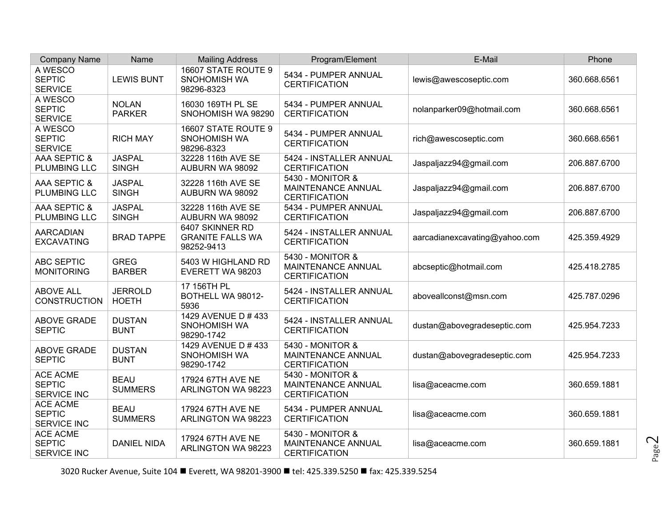| <b>Company Name</b>                                    | Name                           | <b>Mailing Address</b>                                   | Program/Element                                                | E-Mail                        | Phone        |
|--------------------------------------------------------|--------------------------------|----------------------------------------------------------|----------------------------------------------------------------|-------------------------------|--------------|
| A WESCO<br><b>SEPTIC</b><br><b>SERVICE</b>             | <b>LEWIS BUNT</b>              | 16607 STATE ROUTE 9<br>SNOHOMISH WA<br>98296-8323        | 5434 - PUMPER ANNUAL<br><b>CERTIFICATION</b>                   | lewis@awescoseptic.com        | 360.668.6561 |
| A WESCO<br><b>SEPTIC</b><br><b>SERVICE</b>             | <b>NOLAN</b><br><b>PARKER</b>  | 16030 169TH PL SE<br>SNOHOMISH WA 98290                  | 5434 - PUMPER ANNUAL<br><b>CERTIFICATION</b>                   | nolanparker09@hotmail.com     | 360.668.6561 |
| A WESCO<br><b>SEPTIC</b><br><b>SERVICE</b>             | <b>RICH MAY</b>                | 16607 STATE ROUTE 9<br>SNOHOMISH WA<br>98296-8323        | 5434 - PUMPER ANNUAL<br><b>CERTIFICATION</b>                   | rich@awescoseptic.com         | 360.668.6561 |
| AAA SEPTIC &<br>PLUMBING LLC                           | <b>JASPAL</b><br><b>SINGH</b>  | 32228 116th AVE SE<br>AUBURN WA 98092                    | 5424 - INSTALLER ANNUAL<br><b>CERTIFICATION</b>                | Jaspaljazz94@gmail.com        | 206.887.6700 |
| AAA SEPTIC &<br><b>PLUMBING LLC</b>                    | <b>JASPAL</b><br><b>SINGH</b>  | 32228 116th AVE SE<br>AUBURN WA 98092                    | 5430 - MONITOR &<br>MAINTENANCE ANNUAL<br><b>CERTIFICATION</b> | Jaspaljazz94@gmail.com        | 206.887.6700 |
| AAA SEPTIC &<br><b>PLUMBING LLC</b>                    | <b>JASPAL</b><br><b>SINGH</b>  | 32228 116th AVE SE<br>AUBURN WA 98092                    | 5434 - PUMPER ANNUAL<br><b>CERTIFICATION</b>                   | Jaspaljazz94@gmail.com        | 206.887.6700 |
| <b>AARCADIAN</b><br><b>EXCAVATING</b>                  | <b>BRAD TAPPE</b>              | 6407 SKINNER RD<br><b>GRANITE FALLS WA</b><br>98252-9413 | 5424 - INSTALLER ANNUAL<br><b>CERTIFICATION</b>                | aarcadianexcavating@yahoo.com | 425.359.4929 |
| <b>ABC SEPTIC</b><br><b>MONITORING</b>                 | <b>GREG</b><br><b>BARBER</b>   | 5403 W HIGHLAND RD<br>EVERETT WA 98203                   | 5430 - MONITOR &<br>MAINTENANCE ANNUAL<br><b>CERTIFICATION</b> | abcseptic@hotmail.com         | 425.418.2785 |
| <b>ABOVE ALL</b><br><b>CONSTRUCTION</b>                | <b>JERROLD</b><br><b>HOETH</b> | 17 156TH PL<br>BOTHELL WA 98012-<br>5936                 | 5424 - INSTALLER ANNUAL<br><b>CERTIFICATION</b>                | aboveallconst@msn.com         | 425.787.0296 |
| ABOVE GRADE<br><b>SEPTIC</b>                           | <b>DUSTAN</b><br><b>BUNT</b>   | 1429 AVENUE D # 433<br>SNOHOMISH WA<br>98290-1742        | 5424 - INSTALLER ANNUAL<br><b>CERTIFICATION</b>                | dustan@abovegradeseptic.com   | 425.954.7233 |
| <b>ABOVE GRADE</b><br><b>SEPTIC</b>                    | <b>DUSTAN</b><br><b>BUNT</b>   | 1429 AVENUE D # 433<br>SNOHOMISH WA<br>98290-1742        | 5430 - MONITOR &<br>MAINTENANCE ANNUAL<br><b>CERTIFICATION</b> | dustan@abovegradeseptic.com   | 425.954.7233 |
| <b>ACE ACME</b><br><b>SEPTIC</b><br><b>SERVICE INC</b> | <b>BEAU</b><br><b>SUMMERS</b>  | 17924 67TH AVE NE<br>ARLINGTON WA 98223                  | 5430 - MONITOR &<br>MAINTENANCE ANNUAL<br><b>CERTIFICATION</b> | lisa@aceacme.com              | 360.659.1881 |
| <b>ACE ACME</b><br><b>SEPTIC</b><br><b>SERVICE INC</b> | <b>BEAU</b><br><b>SUMMERS</b>  | 17924 67TH AVE NE<br>ARLINGTON WA 98223                  | 5434 - PUMPER ANNUAL<br><b>CERTIFICATION</b>                   | lisa@aceacme.com              | 360.659.1881 |
| <b>ACE ACME</b><br><b>SEPTIC</b><br><b>SERVICE INC</b> | <b>DANIEL NIDA</b>             | 17924 67TH AVE NE<br>ARLINGTON WA 98223                  | 5430 - MONITOR &<br>MAINTENANCE ANNUAL<br><b>CERTIFICATION</b> | lisa@aceacme.com              | 360.659.1881 |

3020 Rucker Avenue, Suite 104 ■ Everett, WA 98201-3900 ■ tel: 425.339.5250 ■ fax: 425.339.5254

Page  $\mathop{\sim}$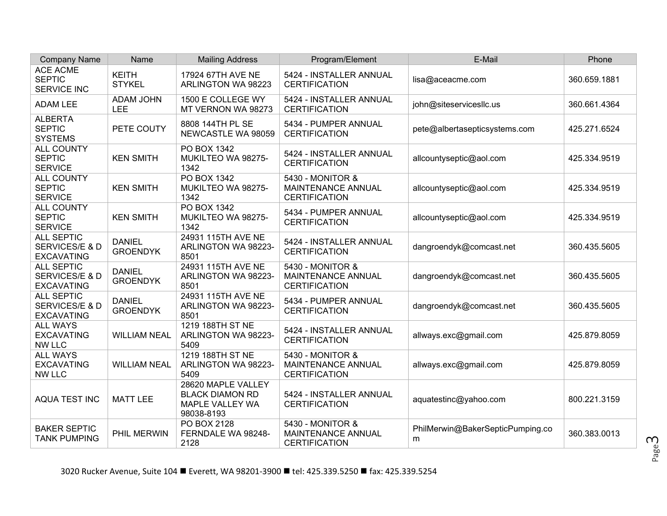| <b>Company Name</b>                                      | Name                             | <b>Mailing Address</b>                                                        | Program/Element                                                       | E-Mail                                | Phone        |
|----------------------------------------------------------|----------------------------------|-------------------------------------------------------------------------------|-----------------------------------------------------------------------|---------------------------------------|--------------|
| <b>ACE ACME</b><br><b>SEPTIC</b><br>SERVICE INC          | <b>KEITH</b><br><b>STYKEL</b>    | 17924 67TH AVE NE<br>ARLINGTON WA 98223                                       | 5424 - INSTALLER ANNUAL<br><b>CERTIFICATION</b>                       | lisa@aceacme.com                      | 360.659.1881 |
| ADAM LEE                                                 | <b>ADAM JOHN</b><br>LEE          | 1500 E COLLEGE WY<br>MT VERNON WA 98273                                       | 5424 - INSTALLER ANNUAL<br><b>CERTIFICATION</b>                       | john@siteservicesllc.us               | 360.661.4364 |
| <b>ALBERTA</b><br><b>SEPTIC</b><br><b>SYSTEMS</b>        | PETE COUTY                       | 8808 144TH PL SE<br>NEWCASTLE WA 98059                                        | 5434 - PUMPER ANNUAL<br><b>CERTIFICATION</b>                          | pete@albertasepticsystems.com         | 425.271.6524 |
| <b>ALL COUNTY</b><br><b>SEPTIC</b><br><b>SERVICE</b>     | <b>KEN SMITH</b>                 | PO BOX 1342<br>MUKILTEO WA 98275-<br>1342                                     | 5424 - INSTALLER ANNUAL<br><b>CERTIFICATION</b>                       | allcountyseptic@aol.com               | 425.334.9519 |
| <b>ALL COUNTY</b><br><b>SEPTIC</b><br><b>SERVICE</b>     | <b>KEN SMITH</b>                 | PO BOX 1342<br>MUKILTEO WA 98275-<br>1342                                     | 5430 - MONITOR &<br><b>MAINTENANCE ANNUAL</b><br><b>CERTIFICATION</b> | allcountyseptic@aol.com               | 425.334.9519 |
| <b>ALL COUNTY</b><br><b>SEPTIC</b><br><b>SERVICE</b>     | <b>KEN SMITH</b>                 | <b>PO BOX 1342</b><br>MUKILTEO WA 98275-<br>1342                              | 5434 - PUMPER ANNUAL<br><b>CERTIFICATION</b>                          | allcountyseptic@aol.com               | 425.334.9519 |
| <b>ALL SEPTIC</b><br>SERVICES/E & D<br><b>EXCAVATING</b> | <b>DANIEL</b><br><b>GROENDYK</b> | 24931 115TH AVE NE<br>ARLINGTON WA 98223-<br>8501                             | 5424 - INSTALLER ANNUAL<br><b>CERTIFICATION</b>                       | dangroendyk@comcast.net               | 360.435.5605 |
| <b>ALL SEPTIC</b><br>SERVICES/E & D<br><b>EXCAVATING</b> | <b>DANIEL</b><br><b>GROENDYK</b> | 24931 115TH AVE NE<br>ARLINGTON WA 98223-<br>8501                             | 5430 - MONITOR &<br>MAINTENANCE ANNUAL<br><b>CERTIFICATION</b>        | dangroendyk@comcast.net               | 360.435.5605 |
| <b>ALL SEPTIC</b><br>SERVICES/E & D<br><b>EXCAVATING</b> | <b>DANIEL</b><br><b>GROENDYK</b> | 24931 115TH AVE NE<br>ARLINGTON WA 98223-<br>8501                             | 5434 - PUMPER ANNUAL<br><b>CERTIFICATION</b>                          | dangroendyk@comcast.net               | 360.435.5605 |
| <b>ALL WAYS</b><br><b>EXCAVATING</b><br><b>NW LLC</b>    | <b>WILLIAM NEAL</b>              | 1219 188TH ST NE<br>ARLINGTON WA 98223-<br>5409                               | 5424 - INSTALLER ANNUAL<br><b>CERTIFICATION</b>                       | allways.exc@gmail.com                 | 425.879.8059 |
| <b>ALL WAYS</b><br><b>EXCAVATING</b><br><b>NW LLC</b>    | <b>WILLIAM NEAL</b>              | 1219 188TH ST NE<br>ARLINGTON WA 98223-<br>5409                               | 5430 - MONITOR &<br><b>MAINTENANCE ANNUAL</b><br><b>CERTIFICATION</b> | allways.exc@gmail.com                 | 425.879.8059 |
| AQUA TEST INC                                            | <b>MATT LEE</b>                  | 28620 MAPLE VALLEY<br><b>BLACK DIAMON RD</b><br>MAPLE VALLEY WA<br>98038-8193 | 5424 - INSTALLER ANNUAL<br><b>CERTIFICATION</b>                       | aquatestinc@yahoo.com                 | 800.221.3159 |
| <b>BAKER SEPTIC</b><br><b>TANK PUMPING</b>               | PHIL MERWIN                      | PO BOX 2128<br>FERNDALE WA 98248-<br>2128                                     | 5430 - MONITOR &<br>MAINTENANCE ANNUAL<br><b>CERTIFICATION</b>        | PhilMerwin@BakerSepticPumping.co<br>m | 360.383.0013 |

Page ന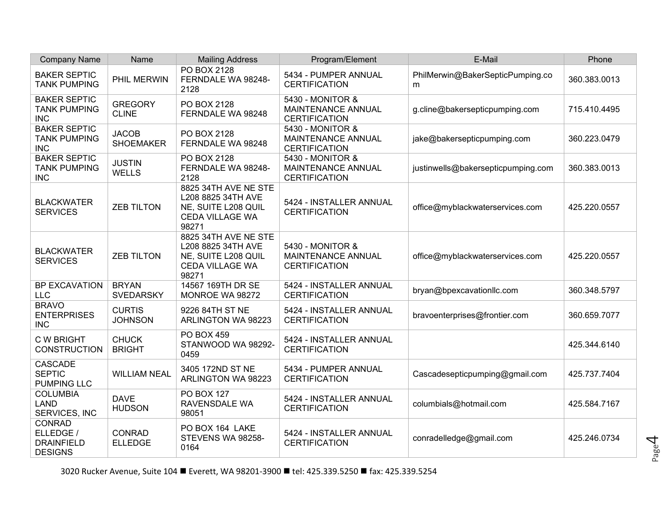| <b>Company Name</b>                                               | Name                             | <b>Mailing Address</b>                                                                               | Program/Element                                                       | E-Mail                                | Phone        |
|-------------------------------------------------------------------|----------------------------------|------------------------------------------------------------------------------------------------------|-----------------------------------------------------------------------|---------------------------------------|--------------|
| <b>BAKER SEPTIC</b><br><b>TANK PUMPING</b>                        | PHIL MERWIN                      | PO BOX 2128<br>FERNDALE WA 98248-<br>2128                                                            | 5434 - PUMPER ANNUAL<br><b>CERTIFICATION</b>                          | PhilMerwin@BakerSepticPumping.co<br>m | 360.383.0013 |
| <b>BAKER SEPTIC</b><br><b>TANK PUMPING</b><br><b>INC</b>          | <b>GREGORY</b><br><b>CLINE</b>   | PO BOX 2128<br>FERNDALE WA 98248                                                                     | 5430 - MONITOR &<br><b>MAINTENANCE ANNUAL</b><br><b>CERTIFICATION</b> | g.cline@bakersepticpumping.com        | 715.410.4495 |
| <b>BAKER SEPTIC</b><br><b>TANK PUMPING</b><br><b>INC</b>          | <b>JACOB</b><br><b>SHOEMAKER</b> | PO BOX 2128<br>FERNDALE WA 98248                                                                     | 5430 - MONITOR &<br>MAINTENANCE ANNUAL<br><b>CERTIFICATION</b>        | jake@bakersepticpumping.com           | 360.223.0479 |
| <b>BAKER SEPTIC</b><br><b>TANK PUMPING</b><br><b>INC</b>          | <b>JUSTIN</b><br><b>WELLS</b>    | PO BOX 2128<br>FERNDALE WA 98248-<br>2128                                                            | 5430 - MONITOR &<br>MAINTENANCE ANNUAL<br><b>CERTIFICATION</b>        | justinwells@bakersepticpumping.com    | 360.383.0013 |
| <b>BLACKWATER</b><br><b>SERVICES</b>                              | <b>ZEB TILTON</b>                | 8825 34TH AVE NE STE<br>L208 8825 34TH AVE<br>NE, SUITE L208 QUIL<br><b>CEDA VILLAGE WA</b><br>98271 | 5424 - INSTALLER ANNUAL<br><b>CERTIFICATION</b>                       | office@myblackwaterservices.com       | 425.220.0557 |
| <b>BLACKWATER</b><br><b>SERVICES</b>                              | <b>ZEB TILTON</b>                | 8825 34TH AVE NE STE<br>L208 8825 34TH AVE<br>NE, SUITE L208 QUIL<br><b>CEDA VILLAGE WA</b><br>98271 | 5430 - MONITOR &<br><b>MAINTENANCE ANNUAL</b><br><b>CERTIFICATION</b> | office@myblackwaterservices.com       | 425.220.0557 |
| BP EXCAVATION<br><b>LLC</b>                                       | <b>BRYAN</b><br><b>SVEDARSKY</b> | 14567 169TH DR SE<br>MONROE WA 98272                                                                 | 5424 - INSTALLER ANNUAL<br><b>CERTIFICATION</b>                       | bryan@bpexcavationllc.com             | 360.348.5797 |
| <b>BRAVO</b><br><b>ENTERPRISES</b><br><b>INC</b>                  | <b>CURTIS</b><br><b>JOHNSON</b>  | 9226 84TH ST NE<br>ARLINGTON WA 98223                                                                | 5424 - INSTALLER ANNUAL<br><b>CERTIFICATION</b>                       | bravoenterprises@frontier.com         | 360.659.7077 |
| <b>C W BRIGHT</b><br><b>CONSTRUCTION</b>                          | <b>CHUCK</b><br><b>BRIGHT</b>    | <b>PO BOX 459</b><br>STANWOOD WA 98292-<br>0459                                                      | 5424 - INSTALLER ANNUAL<br><b>CERTIFICATION</b>                       |                                       | 425.344.6140 |
| CASCADE<br><b>SEPTIC</b><br><b>PUMPING LLC</b>                    | <b>WILLIAM NEAL</b>              | 3405 172ND ST NE<br>ARLINGTON WA 98223                                                               | 5434 - PUMPER ANNUAL<br><b>CERTIFICATION</b>                          | Cascadesepticpumping@gmail.com        | 425.737.7404 |
| <b>COLUMBIA</b><br><b>LAND</b><br>SERVICES, INC                   | <b>DAVE</b><br><b>HUDSON</b>     | <b>PO BOX 127</b><br><b>RAVENSDALE WA</b><br>98051                                                   | 5424 - INSTALLER ANNUAL<br><b>CERTIFICATION</b>                       | columbials@hotmail.com                | 425.584.7167 |
| <b>CONRAD</b><br>ELLEDGE /<br><b>DRAINFIELD</b><br><b>DESIGNS</b> | CONRAD<br><b>ELLEDGE</b>         | PO BOX 164 LAKE<br>STEVENS WA 98258-<br>0164                                                         | 5424 - INSTALLER ANNUAL<br><b>CERTIFICATION</b>                       | conradelledge@gmail.com               | 425.246.0734 |

3020 Rucker Avenue, Suite 104 ■ Everett, WA 98201-3900 ■ tel: 425.339.5250 ■ fax: 425.339.5254

Page  $\overline{\mathcal{A}}$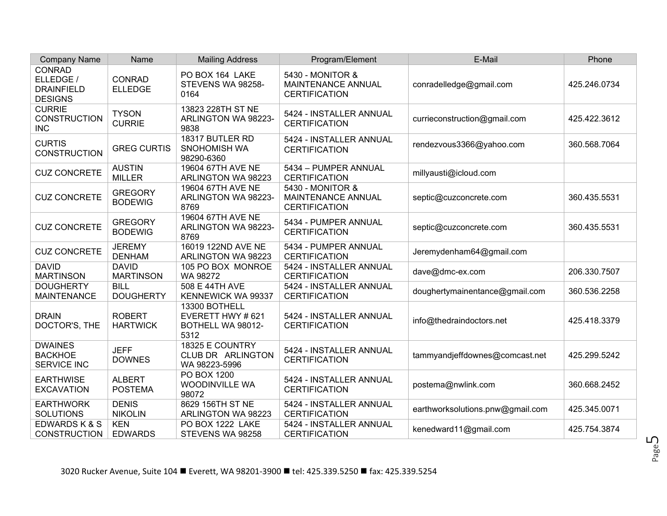| <b>Company Name</b>                                               | Name                             | <b>Mailing Address</b>                                          | Program/Element                                                       | E-Mail                           | Phone        |
|-------------------------------------------------------------------|----------------------------------|-----------------------------------------------------------------|-----------------------------------------------------------------------|----------------------------------|--------------|
| <b>CONRAD</b><br>ELLEDGE /<br><b>DRAINFIELD</b><br><b>DESIGNS</b> | <b>CONRAD</b><br><b>ELLEDGE</b>  | PO BOX 164 LAKE<br>STEVENS WA 98258-<br>0164                    | 5430 - MONITOR &<br><b>MAINTENANCE ANNUAL</b><br><b>CERTIFICATION</b> | conradelledge@gmail.com          | 425.246.0734 |
| <b>CURRIE</b><br><b>CONSTRUCTION</b><br><b>INC</b>                | <b>TYSON</b><br><b>CURRIE</b>    | 13823 228TH ST NE<br>ARLINGTON WA 98223-<br>9838                | 5424 - INSTALLER ANNUAL<br><b>CERTIFICATION</b>                       | currieconstruction@gmail.com     | 425.422.3612 |
| <b>CURTIS</b><br><b>CONSTRUCTION</b>                              | <b>GREG CURTIS</b>               | 18317 BUTLER RD<br>SNOHOMISH WA<br>98290-6360                   | 5424 - INSTALLER ANNUAL<br><b>CERTIFICATION</b>                       | rendezvous3366@yahoo.com         | 360.568.7064 |
| <b>CUZ CONCRETE</b>                                               | <b>AUSTIN</b><br><b>MILLER</b>   | 19604 67TH AVE NE<br>ARLINGTON WA 98223                         | 5434 - PUMPER ANNUAL<br><b>CERTIFICATION</b>                          | millyausti@icloud.com            |              |
| <b>CUZ CONCRETE</b>                                               | <b>GREGORY</b><br><b>BODEWIG</b> | 19604 67TH AVE NE<br>ARLINGTON WA 98223-<br>8769                | 5430 - MONITOR &<br>MAINTENANCE ANNUAL<br><b>CERTIFICATION</b>        | septic@cuzconcrete.com           | 360.435.5531 |
| <b>CUZ CONCRETE</b>                                               | <b>GREGORY</b><br><b>BODEWIG</b> | 19604 67TH AVE NE<br>ARLINGTON WA 98223-<br>8769                | 5434 - PUMPER ANNUAL<br><b>CERTIFICATION</b>                          | septic@cuzconcrete.com           | 360.435.5531 |
| <b>CUZ CONCRETE</b>                                               | <b>JEREMY</b><br><b>DENHAM</b>   | 16019 122ND AVE NE<br>ARLINGTON WA 98223                        | 5434 - PUMPER ANNUAL<br><b>CERTIFICATION</b>                          | Jeremydenham64@gmail.com         |              |
| <b>DAVID</b><br><b>MARTINSON</b>                                  | <b>DAVID</b><br><b>MARTINSON</b> | 105 PO BOX MONROE<br>WA 98272                                   | 5424 - INSTALLER ANNUAL<br><b>CERTIFICATION</b>                       | dave@dmc-ex.com                  | 206.330.7507 |
| <b>DOUGHERTY</b><br><b>MAINTENANCE</b>                            | <b>BILL</b><br><b>DOUGHERTY</b>  | 508 E 44TH AVE<br>KENNEWICK WA 99337                            | 5424 - INSTALLER ANNUAL<br><b>CERTIFICATION</b>                       | doughertymainentance@gmail.com   | 360.536.2258 |
| <b>DRAIN</b><br>DOCTOR'S, THE                                     | <b>ROBERT</b><br><b>HARTWICK</b> | 13300 BOTHELL<br>EVERETT HWY # 621<br>BOTHELL WA 98012-<br>5312 | 5424 - INSTALLER ANNUAL<br><b>CERTIFICATION</b>                       | info@thedraindoctors.net         | 425.418.3379 |
| <b>DWAINES</b><br><b>BACKHOE</b><br><b>SERVICE INC</b>            | <b>JEFF</b><br><b>DOWNES</b>     | 18325 E COUNTRY<br>CLUB DR ARLINGTON<br>WA 98223-5996           | 5424 - INSTALLER ANNUAL<br><b>CERTIFICATION</b>                       | tammyandjeffdownes@comcast.net   | 425.299.5242 |
| <b>EARTHWISE</b><br><b>EXCAVATION</b>                             | <b>ALBERT</b><br><b>POSTEMA</b>  | PO BOX 1200<br><b>WOODINVILLE WA</b><br>98072                   | 5424 - INSTALLER ANNUAL<br><b>CERTIFICATION</b>                       | postema@nwlink.com               | 360.668.2452 |
| <b>EARTHWORK</b><br><b>SOLUTIONS</b>                              | <b>DENIS</b><br><b>NIKOLIN</b>   | 8629 156TH ST NE<br>ARLINGTON WA 98223                          | 5424 - INSTALLER ANNUAL<br><b>CERTIFICATION</b>                       | earthworksolutions.pnw@gmail.com | 425.345.0071 |
| EDWARDS K & S<br><b>CONSTRUCTION</b>                              | <b>KEN</b><br><b>EDWARDS</b>     | PO BOX 1222 LAKE<br>STEVENS WA 98258                            | 5424 - INSTALLER ANNUAL<br><b>CERTIFICATION</b>                       | kenedward11@gmail.com            | 425.754.3874 |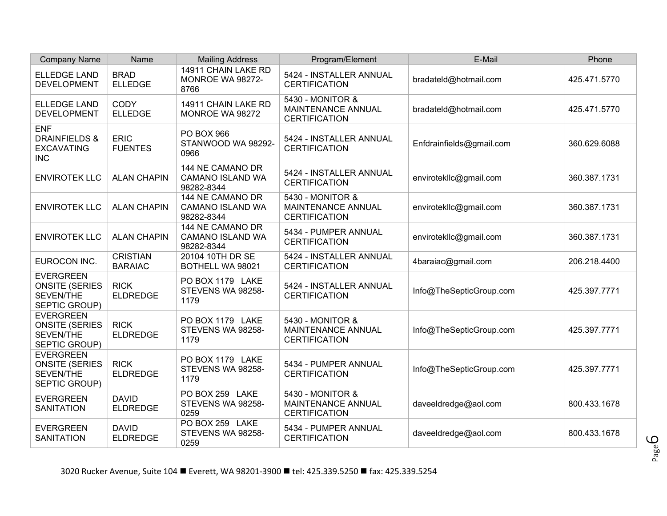| <b>Company Name</b>                                                            | Name                              | <b>Mailing Address</b>                                    | Program/Element                                                       | E-Mail                   | Phone        |
|--------------------------------------------------------------------------------|-----------------------------------|-----------------------------------------------------------|-----------------------------------------------------------------------|--------------------------|--------------|
| <b>ELLEDGE LAND</b><br><b>DEVELOPMENT</b>                                      | <b>BRAD</b><br><b>ELLEDGE</b>     | 14911 CHAIN LAKE RD<br>MONROE WA 98272-<br>8766           | 5424 - INSTALLER ANNUAL<br><b>CERTIFICATION</b>                       | bradateId@hotmail.com    | 425.471.5770 |
| <b>ELLEDGE LAND</b><br><b>DEVELOPMENT</b>                                      | <b>CODY</b><br><b>ELLEDGE</b>     | 14911 CHAIN LAKE RD<br>MONROE WA 98272                    | 5430 - MONITOR &<br>MAINTENANCE ANNUAL<br><b>CERTIFICATION</b>        | bradateId@hotmail.com    | 425.471.5770 |
| <b>ENF</b><br><b>DRAINFIELDS &amp;</b><br><b>EXCAVATING</b><br><b>INC</b>      | <b>ERIC</b><br><b>FUENTES</b>     | <b>PO BOX 966</b><br>STANWOOD WA 98292-<br>0966           | 5424 - INSTALLER ANNUAL<br><b>CERTIFICATION</b>                       | Enfdrainfields@gmail.com | 360.629.6088 |
| <b>ENVIROTEK LLC</b>                                                           | <b>ALAN CHAPIN</b>                | 144 NE CAMANO DR<br><b>CAMANO ISLAND WA</b><br>98282-8344 | 5424 - INSTALLER ANNUAL<br><b>CERTIFICATION</b>                       | envirotekllc@gmail.com   | 360.387.1731 |
| <b>ENVIROTEK LLC</b>                                                           | <b>ALAN CHAPIN</b>                | 144 NE CAMANO DR<br><b>CAMANO ISLAND WA</b><br>98282-8344 | 5430 - MONITOR &<br>MAINTENANCE ANNUAL<br><b>CERTIFICATION</b>        | envirotekllc@gmail.com   | 360.387.1731 |
| <b>ENVIROTEK LLC</b>                                                           | <b>ALAN CHAPIN</b>                | 144 NE CAMANO DR<br><b>CAMANO ISLAND WA</b><br>98282-8344 | 5434 - PUMPER ANNUAL<br><b>CERTIFICATION</b>                          | envirotekllc@gmail.com   | 360.387.1731 |
| EUROCON INC.                                                                   | <b>CRISTIAN</b><br><b>BARAIAC</b> | 20104 10TH DR SE<br>BOTHELL WA 98021                      | 5424 - INSTALLER ANNUAL<br><b>CERTIFICATION</b>                       | 4baraiac@gmail.com       | 206.218.4400 |
| <b>EVERGREEN</b><br><b>ONSITE (SERIES</b><br><b>SEVEN/THE</b><br>SEPTIC GROUP) | <b>RICK</b><br><b>ELDREDGE</b>    | PO BOX 1179 LAKE<br>STEVENS WA 98258-<br>1179             | 5424 - INSTALLER ANNUAL<br><b>CERTIFICATION</b>                       | Info@TheSepticGroup.com  | 425.397.7771 |
| <b>EVERGREEN</b><br><b>ONSITE (SERIES</b><br><b>SEVEN/THE</b><br>SEPTIC GROUP) | <b>RICK</b><br><b>ELDREDGE</b>    | PO BOX 1179 LAKE<br>STEVENS WA 98258-<br>1179             | 5430 - MONITOR &<br>MAINTENANCE ANNUAL<br><b>CERTIFICATION</b>        | Info@TheSepticGroup.com  | 425.397.7771 |
| <b>EVERGREEN</b><br><b>ONSITE (SERIES</b><br>SEVEN/THE<br>SEPTIC GROUP)        | <b>RICK</b><br><b>ELDREDGE</b>    | PO BOX 1179 LAKE<br>STEVENS WA 98258-<br>1179             | 5434 - PUMPER ANNUAL<br><b>CERTIFICATION</b>                          | Info@TheSepticGroup.com  | 425.397.7771 |
| <b>EVERGREEN</b><br><b>SANITATION</b>                                          | <b>DAVID</b><br><b>ELDREDGE</b>   | PO BOX 259 LAKE<br>STEVENS WA 98258-<br>0259              | 5430 - MONITOR &<br><b>MAINTENANCE ANNUAL</b><br><b>CERTIFICATION</b> | daveeldredge@aol.com     | 800.433.1678 |
| <b>EVERGREEN</b><br><b>SANITATION</b>                                          | <b>DAVID</b><br><b>ELDREDGE</b>   | PO BOX 259 LAKE<br>STEVENS WA 98258-<br>0259              | 5434 - PUMPER ANNUAL<br><b>CERTIFICATION</b>                          | daveeldredge@aol.com     | 800.433.1678 |

Page 6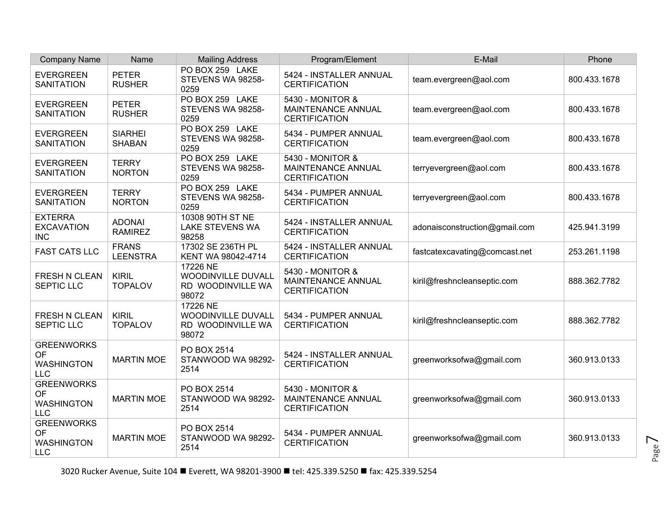| <b>Company Name</b>                                        | Name                            | <b>Mailing Address</b>                                       | Program/Element                                                       | E-Mail                        | Phone        |
|------------------------------------------------------------|---------------------------------|--------------------------------------------------------------|-----------------------------------------------------------------------|-------------------------------|--------------|
| <b>EVERGREEN</b><br><b>SANITATION</b>                      | <b>PETER</b><br><b>RUSHER</b>   | PO BOX 259 LAKE<br>STEVENS WA 98258-<br>0259                 | 5424 - INSTALLER ANNUAL<br><b>CERTIFICATION</b>                       | team.evergreen@aol.com        | 800.433.1678 |
| <b>EVERGREEN</b><br><b>SANITATION</b>                      | <b>PETER</b><br><b>RUSHER</b>   | PO BOX 259 LAKE<br>STEVENS WA 98258-<br>0259                 | 5430 - MONITOR &<br>MAINTENANCE ANNUAL<br><b>CERTIFICATION</b>        | team.evergreen@aol.com        | 800.433.1678 |
| <b>EVERGREEN</b><br><b>SANITATION</b>                      | <b>SIARHEI</b><br><b>SHABAN</b> | PO BOX 259 LAKE<br>STEVENS WA 98258-<br>0259                 | 5434 - PUMPER ANNUAL<br><b>CERTIFICATION</b>                          | team.evergreen@aol.com        | 800.433.1678 |
| <b>EVERGREEN</b><br><b>SANITATION</b>                      | <b>TERRY</b><br><b>NORTON</b>   | PO BOX 259 LAKE<br>STEVENS WA 98258-<br>0259                 | 5430 - MONITOR &<br><b>MAINTENANCE ANNUAL</b><br><b>CERTIFICATION</b> | terryevergreen@aol.com        | 800.433.1678 |
| <b>EVERGREEN</b><br><b>SANITATION</b>                      | <b>TERRY</b><br><b>NORTON</b>   | PO BOX 259 LAKE<br>STEVENS WA 98258-<br>0259                 | 5434 - PUMPER ANNUAL<br><b>CERTIFICATION</b>                          | terryevergreen@aol.com        | 800.433.1678 |
| <b>EXTERRA</b><br><b>EXCAVATION</b><br><b>INC</b>          | <b>ADONAI</b><br><b>RAMIREZ</b> | 10308 90TH ST NE<br><b>LAKE STEVENS WA</b><br>98258          | 5424 - INSTALLER ANNUAL<br><b>CERTIFICATION</b>                       | adonaisconstruction@gmail.com | 425.941.3199 |
| <b>FAST CATS LLC</b>                                       | <b>FRANS</b><br><b>LEENSTRA</b> | 17302 SE 236TH PL<br>KENT WA 98042-4714                      | 5424 - INSTALLER ANNUAL<br><b>CERTIFICATION</b>                       | fastcatexcavating@comcast.net | 253.261.1198 |
| <b>FRESH N CLEAN</b><br><b>SEPTIC LLC</b>                  | <b>KIRIL</b><br><b>TOPALOV</b>  | 17226 NE<br>WOODINVILLE DUVALL<br>RD WOODINVILLE WA<br>98072 | 5430 - MONITOR &<br><b>MAINTENANCE ANNUAL</b><br><b>CERTIFICATION</b> | kiril@freshncleanseptic.com   | 888.362.7782 |
| FRESH N CLEAN<br><b>SEPTIC LLC</b>                         | <b>KIRIL</b><br><b>TOPALOV</b>  | 17226 NE<br>WOODINVILLE DUVALL<br>RD WOODINVILLE WA<br>98072 | 5434 - PUMPER ANNUAL<br><b>CERTIFICATION</b>                          | kiril@freshncleanseptic.com   | 888.362.7782 |
| <b>GREENWORKS</b><br>OF<br><b>WASHINGTON</b><br><b>LLC</b> | <b>MARTIN MOE</b>               | PO BOX 2514<br>STANWOOD WA 98292-<br>2514                    | 5424 - INSTALLER ANNUAL<br><b>CERTIFICATION</b>                       | greenworksofwa@gmail.com      | 360.913.0133 |
| <b>GREENWORKS</b><br>OF<br><b>WASHINGTON</b><br>LLC        | <b>MARTIN MOE</b>               | PO BOX 2514<br>STANWOOD WA 98292-<br>2514                    | 5430 - MONITOR &<br><b>MAINTENANCE ANNUAL</b><br><b>CERTIFICATION</b> | greenworksofwa@gmail.com      | 360.913.0133 |
| <b>GREENWORKS</b><br>OF<br><b>WASHINGTON</b><br><b>LLC</b> | <b>MARTIN MOE</b>               | PO BOX 2514<br>STANWOOD WA 98292-<br>2514                    | 5434 - PUMPER ANNUAL<br><b>CERTIFICATION</b>                          | greenworksofwa@gmail.com      | 360.913.0133 |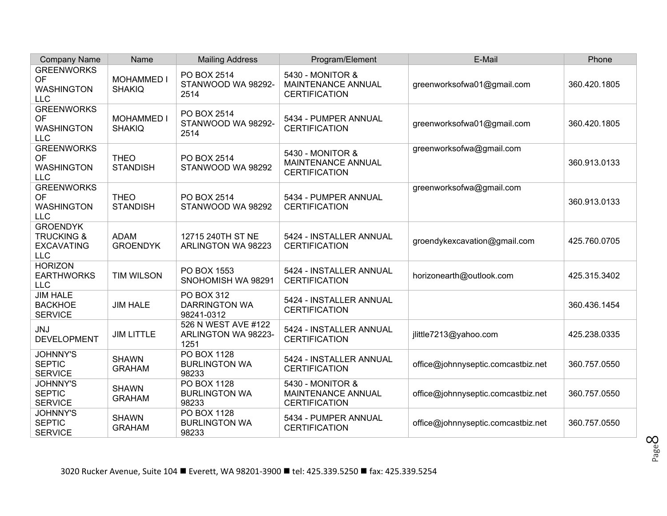| <b>Company Name</b>                                                         | Name                               | <b>Mailing Address</b>                              | Program/Element                                                | E-Mail                             | Phone        |
|-----------------------------------------------------------------------------|------------------------------------|-----------------------------------------------------|----------------------------------------------------------------|------------------------------------|--------------|
| <b>GREENWORKS</b><br>OF<br><b>WASHINGTON</b><br><b>LLC</b>                  | <b>MOHAMMED I</b><br><b>SHAKIQ</b> | PO BOX 2514<br>STANWOOD WA 98292-<br>2514           | 5430 - MONITOR &<br>MAINTENANCE ANNUAL<br><b>CERTIFICATION</b> | greenworksofwa01@gmail.com         | 360.420.1805 |
| <b>GREENWORKS</b><br>OF<br><b>WASHINGTON</b><br><b>LLC</b>                  | <b>MOHAMMED I</b><br><b>SHAKIQ</b> | PO BOX 2514<br>STANWOOD WA 98292-<br>2514           | 5434 - PUMPER ANNUAL<br><b>CERTIFICATION</b>                   | greenworksofwa01@gmail.com         | 360.420.1805 |
| <b>GREENWORKS</b><br><b>OF</b><br><b>WASHINGTON</b><br><b>LLC</b>           | <b>THEO</b><br><b>STANDISH</b>     | PO BOX 2514<br>STANWOOD WA 98292                    | 5430 - MONITOR &<br>MAINTENANCE ANNUAL<br><b>CERTIFICATION</b> | greenworksofwa@gmail.com           | 360.913.0133 |
| <b>GREENWORKS</b><br>OF<br><b>WASHINGTON</b><br><b>LLC</b>                  | <b>THEO</b><br><b>STANDISH</b>     | PO BOX 2514<br>STANWOOD WA 98292                    | 5434 - PUMPER ANNUAL<br><b>CERTIFICATION</b>                   | greenworksofwa@gmail.com           | 360.913.0133 |
| <b>GROENDYK</b><br><b>TRUCKING &amp;</b><br><b>EXCAVATING</b><br><b>LLC</b> | <b>ADAM</b><br><b>GROENDYK</b>     | 12715 240TH ST NE<br>ARLINGTON WA 98223             | 5424 - INSTALLER ANNUAL<br><b>CERTIFICATION</b>                | groendykexcavation@gmail.com       | 425.760.0705 |
| <b>HORIZON</b><br><b>EARTHWORKS</b><br><b>LLC</b>                           | <b>TIM WILSON</b>                  | PO BOX 1553<br>SNOHOMISH WA 98291                   | 5424 - INSTALLER ANNUAL<br><b>CERTIFICATION</b>                | horizonearth@outlook.com           | 425.315.3402 |
| <b>JIM HALE</b><br><b>BACKHOE</b><br><b>SERVICE</b>                         | <b>JIM HALE</b>                    | PO BOX 312<br><b>DARRINGTON WA</b><br>98241-0312    | 5424 - INSTALLER ANNUAL<br><b>CERTIFICATION</b>                |                                    | 360.436.1454 |
| <b>JNJ</b><br><b>DEVELOPMENT</b>                                            | <b>JIM LITTLE</b>                  | 526 N WEST AVE #122<br>ARLINGTON WA 98223-<br>1251  | 5424 - INSTALLER ANNUAL<br><b>CERTIFICATION</b>                | jlittle7213@yahoo.com              | 425.238.0335 |
| <b>JOHNNY'S</b><br><b>SEPTIC</b><br><b>SERVICE</b>                          | <b>SHAWN</b><br><b>GRAHAM</b>      | <b>PO BOX 1128</b><br><b>BURLINGTON WA</b><br>98233 | 5424 - INSTALLER ANNUAL<br><b>CERTIFICATION</b>                | office@johnnyseptic.comcastbiz.net | 360.757.0550 |
| <b>JOHNNY'S</b><br><b>SEPTIC</b><br><b>SERVICE</b>                          | <b>SHAWN</b><br><b>GRAHAM</b>      | <b>PO BOX 1128</b><br><b>BURLINGTON WA</b><br>98233 | 5430 - MONITOR &<br>MAINTENANCE ANNUAL<br><b>CERTIFICATION</b> | office@johnnyseptic.comcastbiz.net | 360.757.0550 |
| <b>JOHNNY'S</b><br><b>SEPTIC</b><br><b>SERVICE</b>                          | <b>SHAWN</b><br><b>GRAHAM</b>      | PO BOX 1128<br><b>BURLINGTON WA</b><br>98233        | 5434 - PUMPER ANNUAL<br><b>CERTIFICATION</b>                   | office@johnnyseptic.comcastbiz.net | 360.757.0550 |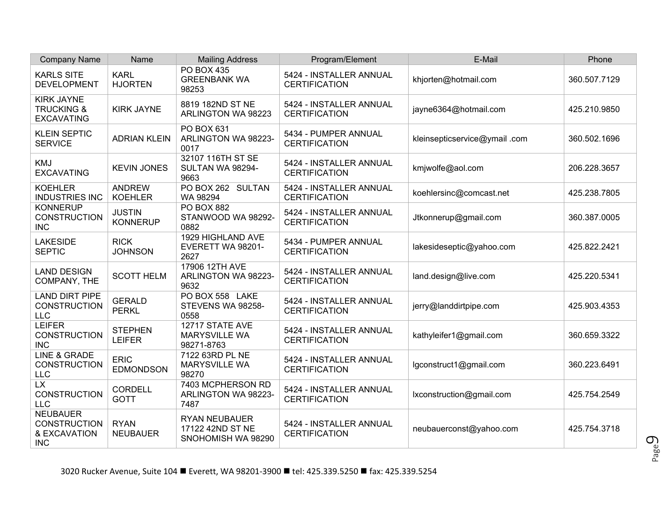| <b>Company Name</b>                                                  | Name                             | <b>Mailing Address</b>                                         | Program/Element                                 | E-Mail                       | Phone        |
|----------------------------------------------------------------------|----------------------------------|----------------------------------------------------------------|-------------------------------------------------|------------------------------|--------------|
| <b>KARLS SITE</b><br><b>DEVELOPMENT</b>                              | <b>KARL</b><br><b>HJORTEN</b>    | <b>PO BOX 435</b><br><b>GREENBANK WA</b><br>98253              | 5424 - INSTALLER ANNUAL<br><b>CERTIFICATION</b> | khjorten@hotmail.com         | 360.507.7129 |
| <b>KIRK JAYNE</b><br><b>TRUCKING &amp;</b><br><b>EXCAVATING</b>      | <b>KIRK JAYNE</b>                | 8819 182ND ST NE<br>ARLINGTON WA 98223                         | 5424 - INSTALLER ANNUAL<br><b>CERTIFICATION</b> | jayne6364@hotmail.com        | 425.210.9850 |
| <b>KLEIN SEPTIC</b><br><b>SERVICE</b>                                | <b>ADRIAN KLEIN</b>              | PO BOX 631<br>ARLINGTON WA 98223-<br>0017                      | 5434 - PUMPER ANNUAL<br><b>CERTIFICATION</b>    | kleinsepticservice@ymail.com | 360.502.1696 |
| <b>KMJ</b><br><b>EXCAVATING</b>                                      | <b>KEVIN JONES</b>               | 32107 116TH ST SE<br>SULTAN WA 98294-<br>9663                  | 5424 - INSTALLER ANNUAL<br><b>CERTIFICATION</b> | kmjwolfe@aol.com             | 206.228.3657 |
| <b>KOEHLER</b><br><b>INDUSTRIES INC</b>                              | <b>ANDREW</b><br><b>KOEHLER</b>  | PO BOX 262 SULTAN<br>WA 98294                                  | 5424 - INSTALLER ANNUAL<br><b>CERTIFICATION</b> | koehlersinc@comcast.net      | 425.238.7805 |
| <b>KONNERUP</b><br><b>CONSTRUCTION</b><br><b>INC</b>                 | <b>JUSTIN</b><br><b>KONNERUP</b> | <b>PO BOX 882</b><br>STANWOOD WA 98292-<br>0882                | 5424 - INSTALLER ANNUAL<br><b>CERTIFICATION</b> | Jtkonnerup@gmail.com         | 360.387.0005 |
| <b>LAKESIDE</b><br><b>SEPTIC</b>                                     | <b>RICK</b><br><b>JOHNSON</b>    | 1929 HIGHLAND AVE<br>EVERETT WA 98201-<br>2627                 | 5434 - PUMPER ANNUAL<br><b>CERTIFICATION</b>    | lakesideseptic@yahoo.com     | 425.822.2421 |
| <b>LAND DESIGN</b><br>COMPANY, THE                                   | <b>SCOTT HELM</b>                | 17906 12TH AVE<br>ARLINGTON WA 98223-<br>9632                  | 5424 - INSTALLER ANNUAL<br><b>CERTIFICATION</b> | land.design@live.com         | 425.220.5341 |
| LAND DIRT PIPE<br><b>CONSTRUCTION</b><br><b>LLC</b>                  | <b>GERALD</b><br><b>PERKL</b>    | PO BOX 558 LAKE<br>STEVENS WA 98258-<br>0558                   | 5424 - INSTALLER ANNUAL<br><b>CERTIFICATION</b> | jerry@landdirtpipe.com       | 425.903.4353 |
| <b>LEIFER</b><br><b>CONSTRUCTION</b><br><b>INC</b>                   | <b>STEPHEN</b><br><b>LEIFER</b>  | 12717 STATE AVE<br><b>MARYSVILLE WA</b><br>98271-8763          | 5424 - INSTALLER ANNUAL<br><b>CERTIFICATION</b> | kathyleifer1@gmail.com       | 360.659.3322 |
| <b>LINE &amp; GRADE</b><br><b>CONSTRUCTION</b><br><b>LLC</b>         | <b>ERIC</b><br><b>EDMONDSON</b>  | 7122 63RD PL NE<br><b>MARYSVILLE WA</b><br>98270               | 5424 - INSTALLER ANNUAL<br><b>CERTIFICATION</b> | lgconstruct1@gmail.com       | 360.223.6491 |
| <b>LX</b><br><b>CONSTRUCTION</b><br><b>LLC</b>                       | <b>CORDELL</b><br><b>GOTT</b>    | 7403 MCPHERSON RD<br>ARLINGTON WA 98223-<br>7487               | 5424 - INSTALLER ANNUAL<br><b>CERTIFICATION</b> | lxconstruction@gmail.com     | 425.754.2549 |
| <b>NEUBAUER</b><br><b>CONSTRUCTION</b><br>& EXCAVATION<br><b>INC</b> | <b>RYAN</b><br><b>NEUBAUER</b>   | <b>RYAN NEUBAUER</b><br>17122 42ND ST NE<br>SNOHOMISH WA 98290 | 5424 - INSTALLER ANNUAL<br><b>CERTIFICATION</b> | neubauerconst@yahoo.com      | 425.754.3718 |

Page  $\mathcal{O}_2$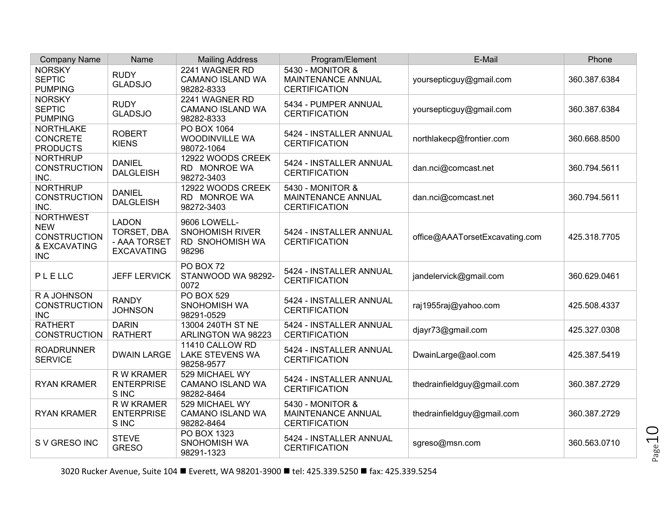| <b>Company Name</b>                                                                 | Name                                                             | <b>Mailing Address</b>                                                    | Program/Element                                                | E-Mail                         | Phone        |
|-------------------------------------------------------------------------------------|------------------------------------------------------------------|---------------------------------------------------------------------------|----------------------------------------------------------------|--------------------------------|--------------|
| <b>NORSKY</b><br><b>SEPTIC</b><br><b>PUMPING</b>                                    | <b>RUDY</b><br><b>GLADSJO</b>                                    | 2241 WAGNER RD<br>CAMANO ISLAND WA<br>98282-8333                          | 5430 - MONITOR &<br>MAINTENANCE ANNUAL<br><b>CERTIFICATION</b> | yoursepticguy@gmail.com        | 360.387.6384 |
| <b>NORSKY</b><br><b>SEPTIC</b><br><b>PUMPING</b>                                    | <b>RUDY</b><br><b>GLADSJO</b>                                    | 2241 WAGNER RD<br>CAMANO ISLAND WA<br>98282-8333                          | 5434 - PUMPER ANNUAL<br><b>CERTIFICATION</b>                   | yoursepticguy@gmail.com        | 360.387.6384 |
| <b>NORTHLAKE</b><br><b>CONCRETE</b><br><b>PRODUCTS</b>                              | <b>ROBERT</b><br><b>KIENS</b>                                    | PO BOX 1064<br><b>WOODINVILLE WA</b><br>98072-1064                        | 5424 - INSTALLER ANNUAL<br><b>CERTIFICATION</b>                | northlakecp@frontier.com       | 360.668.8500 |
| <b>NORTHRUP</b><br><b>CONSTRUCTION</b><br>INC.                                      | <b>DANIEL</b><br><b>DALGLEISH</b>                                | 12922 WOODS CREEK<br>RD MONROE WA<br>98272-3403                           | 5424 - INSTALLER ANNUAL<br><b>CERTIFICATION</b>                | dan.nci@comcast.net            | 360.794.5611 |
| <b>NORTHRUP</b><br><b>CONSTRUCTION</b><br>INC.                                      | <b>DANIEL</b><br><b>DALGLEISH</b>                                | 12922 WOODS CREEK<br>RD MONROE WA<br>98272-3403                           | 5430 - MONITOR &<br>MAINTENANCE ANNUAL<br><b>CERTIFICATION</b> | dan.nci@comcast.net            | 360.794.5611 |
| <b>NORTHWEST</b><br><b>NEW</b><br><b>CONSTRUCTION</b><br>& EXCAVATING<br><b>INC</b> | <b>LADON</b><br>TORSET, DBA<br>- AAA TORSET<br><b>EXCAVATING</b> | 9606 LOWELL-<br><b>SNOHOMISH RIVER</b><br><b>RD SNOHOMISH WA</b><br>98296 | 5424 - INSTALLER ANNUAL<br><b>CERTIFICATION</b>                | office@AAATorsetExcavating.com | 425.318.7705 |
| PLELLC                                                                              | <b>JEFF LERVICK</b>                                              | PO BOX 72<br>STANWOOD WA 98292-<br>0072                                   | 5424 - INSTALLER ANNUAL<br><b>CERTIFICATION</b>                | jandelervick@gmail.com         | 360.629.0461 |
| R A JOHNSON<br><b>CONSTRUCTION</b><br><b>INC</b>                                    | <b>RANDY</b><br><b>JOHNSON</b>                                   | <b>PO BOX 529</b><br>SNOHOMISH WA<br>98291-0529                           | 5424 - INSTALLER ANNUAL<br><b>CERTIFICATION</b>                | raj1955raj@yahoo.com           | 425.508.4337 |
| <b>RATHERT</b><br><b>CONSTRUCTION</b>                                               | <b>DARIN</b><br><b>RATHERT</b>                                   | 13004 240TH ST NE<br>ARLINGTON WA 98223                                   | 5424 - INSTALLER ANNUAL<br><b>CERTIFICATION</b>                | djayr73@gmail.com              | 425.327.0308 |
| <b>ROADRUNNER</b><br><b>SERVICE</b>                                                 | <b>DWAIN LARGE</b>                                               | 11410 CALLOW RD<br><b>LAKE STEVENS WA</b><br>98258-9577                   | 5424 - INSTALLER ANNUAL<br><b>CERTIFICATION</b>                | DwainLarge@aol.com             | 425.387.5419 |
| <b>RYAN KRAMER</b>                                                                  | R W KRAMER<br><b>ENTERPRISE</b><br>S INC                         | 529 MICHAEL WY<br><b>CAMANO ISLAND WA</b><br>98282-8464                   | 5424 - INSTALLER ANNUAL<br><b>CERTIFICATION</b>                | thedrainfieldguy@gmail.com     | 360.387.2729 |
| <b>RYAN KRAMER</b>                                                                  | <b>RW KRAMER</b><br><b>ENTERPRISE</b><br>S INC                   | 529 MICHAEL WY<br><b>CAMANO ISLAND WA</b><br>98282-8464                   | 5430 - MONITOR &<br>MAINTENANCE ANNUAL<br><b>CERTIFICATION</b> | thedrainfieldguy@gmail.com     | 360.387.2729 |
| S V GRESO INC                                                                       | <b>STEVE</b><br><b>GRESO</b>                                     | PO BOX 1323<br>SNOHOMISH WA<br>98291-1323                                 | 5424 - INSTALLER ANNUAL<br><b>CERTIFICATION</b>                | sgreso@msn.com                 | 360.563.0710 |

3020 Rucker Avenue, Suite 104 ■ Everett, WA 98201-3900 ■ tel: 425.339.5250 ■ fax: 425.339.5254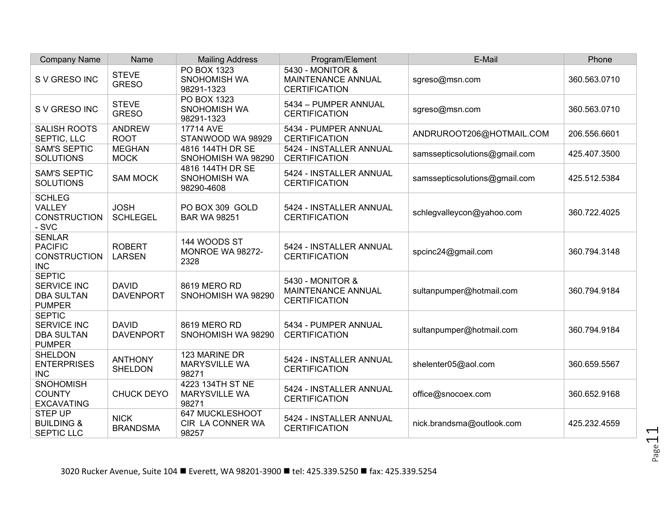| <b>Company Name</b>                                                       | Name                             | <b>Mailing Address</b>                            | Program/Element                                                | E-Mail                        | Phone        |
|---------------------------------------------------------------------------|----------------------------------|---------------------------------------------------|----------------------------------------------------------------|-------------------------------|--------------|
| S V GRESO INC                                                             | <b>STEVE</b><br><b>GRESO</b>     | PO BOX 1323<br>SNOHOMISH WA<br>98291-1323         | 5430 - MONITOR &<br>MAINTENANCE ANNUAL<br><b>CERTIFICATION</b> | sgreso@msn.com                | 360.563.0710 |
| S V GRESO INC                                                             | <b>STEVE</b><br><b>GRESO</b>     | PO BOX 1323<br>SNOHOMISH WA<br>98291-1323         | 5434 - PUMPER ANNUAL<br><b>CERTIFICATION</b>                   | sgreso@msn.com                | 360.563.0710 |
| SALISH ROOTS<br>SEPTIC, LLC                                               | <b>ANDREW</b><br><b>ROOT</b>     | 17714 AVE<br>STANWOOD WA 98929                    | 5434 - PUMPER ANNUAL<br><b>CERTIFICATION</b>                   | ANDRUROOT206@HOTMAIL.COM      | 206.556.6601 |
| <b>SAM'S SEPTIC</b><br><b>SOLUTIONS</b>                                   | <b>MEGHAN</b><br><b>MOCK</b>     | 4816 144TH DR SE<br>SNOHOMISH WA 98290            | 5424 - INSTALLER ANNUAL<br><b>CERTIFICATION</b>                | samssepticsolutions@gmail.com | 425.407.3500 |
| <b>SAM'S SEPTIC</b><br><b>SOLUTIONS</b>                                   | <b>SAM MOCK</b>                  | 4816 144TH DR SE<br>SNOHOMISH WA<br>98290-4608    | 5424 - INSTALLER ANNUAL<br><b>CERTIFICATION</b>                | samssepticsolutions@gmail.com | 425.512.5384 |
| <b>SCHLEG</b><br>VALLEY<br><b>CONSTRUCTION</b><br>- SVC                   | <b>JOSH</b><br><b>SCHLEGEL</b>   | PO BOX 309 GOLD<br><b>BAR WA 98251</b>            | 5424 - INSTALLER ANNUAL<br><b>CERTIFICATION</b>                | schlegvalleycon@yahoo.com     | 360.722.4025 |
| <b>SENLAR</b><br><b>PACIFIC</b><br><b>CONSTRUCTION</b><br><b>INC</b>      | <b>ROBERT</b><br><b>LARSEN</b>   | 144 WOODS ST<br>MONROE WA 98272-<br>2328          | 5424 - INSTALLER ANNUAL<br><b>CERTIFICATION</b>                | spcinc24@gmail.com            | 360.794.3148 |
| <b>SEPTIC</b><br><b>SERVICE INC</b><br><b>DBA SULTAN</b><br><b>PUMPER</b> | <b>DAVID</b><br><b>DAVENPORT</b> | 8619 MERO RD<br>SNOHOMISH WA 98290                | 5430 - MONITOR &<br>MAINTENANCE ANNUAL<br><b>CERTIFICATION</b> | sultanpumper@hotmail.com      | 360.794.9184 |
| <b>SEPTIC</b><br><b>SERVICE INC</b><br><b>DBA SULTAN</b><br><b>PUMPER</b> | <b>DAVID</b><br><b>DAVENPORT</b> | 8619 MERO RD<br>SNOHOMISH WA 98290                | 5434 - PUMPER ANNUAL<br><b>CERTIFICATION</b>                   | sultanpumper@hotmail.com      | 360.794.9184 |
| <b>SHELDON</b><br><b>ENTERPRISES</b><br><b>INC</b>                        | <b>ANTHONY</b><br><b>SHELDON</b> | 123 MARINE DR<br><b>MARYSVILLE WA</b><br>98271    | 5424 - INSTALLER ANNUAL<br><b>CERTIFICATION</b>                | shelenter05@aol.com           | 360.659.5567 |
| <b>SNOHOMISH</b><br><b>COUNTY</b><br><b>EXCAVATING</b>                    | <b>CHUCK DEYO</b>                | 4223 134TH ST NE<br><b>MARYSVILLE WA</b><br>98271 | 5424 - INSTALLER ANNUAL<br><b>CERTIFICATION</b>                | office@snocoex.com            | 360.652.9168 |
| <b>STEP UP</b><br><b>BUILDING &amp;</b><br><b>SEPTIC LLC</b>              | <b>NICK</b><br><b>BRANDSMA</b>   | 647 MUCKLESHOOT<br>CIR LA CONNER WA<br>98257      | 5424 - INSTALLER ANNUAL<br><b>CERTIFICATION</b>                | nick.brandsma@outlook.com     | 425.232.4559 |

Page11